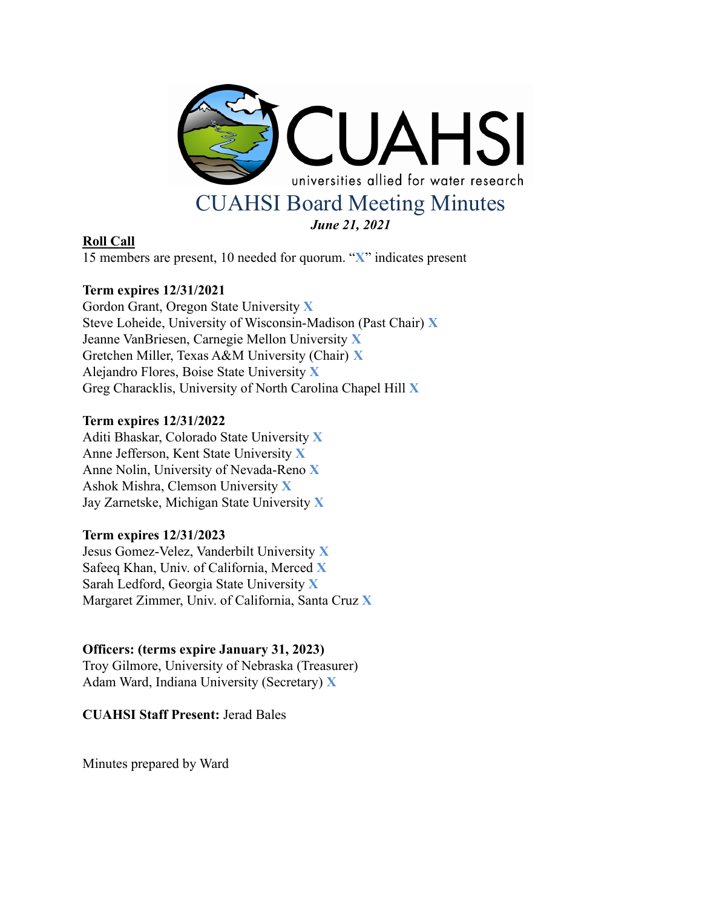

# **Roll Call**

15 members are present, 10 needed for quorum. "**X**" indicates present

# **Term expires 12/31/2021**

Gordon Grant, Oregon State University **X** Steve Loheide, University of Wisconsin-Madison (Past Chair) **X** Jeanne VanBriesen, Carnegie Mellon University **X** Gretchen Miller, Texas A&M University (Chair) **X** Alejandro Flores, Boise State University **X** Greg Characklis, University of North Carolina Chapel Hill **X**

# **Term expires 12/31/2022**

Aditi Bhaskar, Colorado State University **X** Anne Jefferson, Kent State University **X** Anne Nolin, University of Nevada-Reno **X** Ashok Mishra, Clemson University **X** Jay Zarnetske, Michigan State University **X**

# **Term expires 12/31/2023**

Jesus Gomez-Velez, Vanderbilt University **X** Safeeq Khan, Univ. of California, Merced **X** Sarah Ledford, Georgia State University **X** Margaret Zimmer, Univ. of California, Santa Cruz **X**

# **Officers: (terms expire January 31, 2023)**

Troy Gilmore, University of Nebraska (Treasurer) Adam Ward, Indiana University (Secretary) **X**

**CUAHSI Staff Present:** Jerad Bales

Minutes prepared by Ward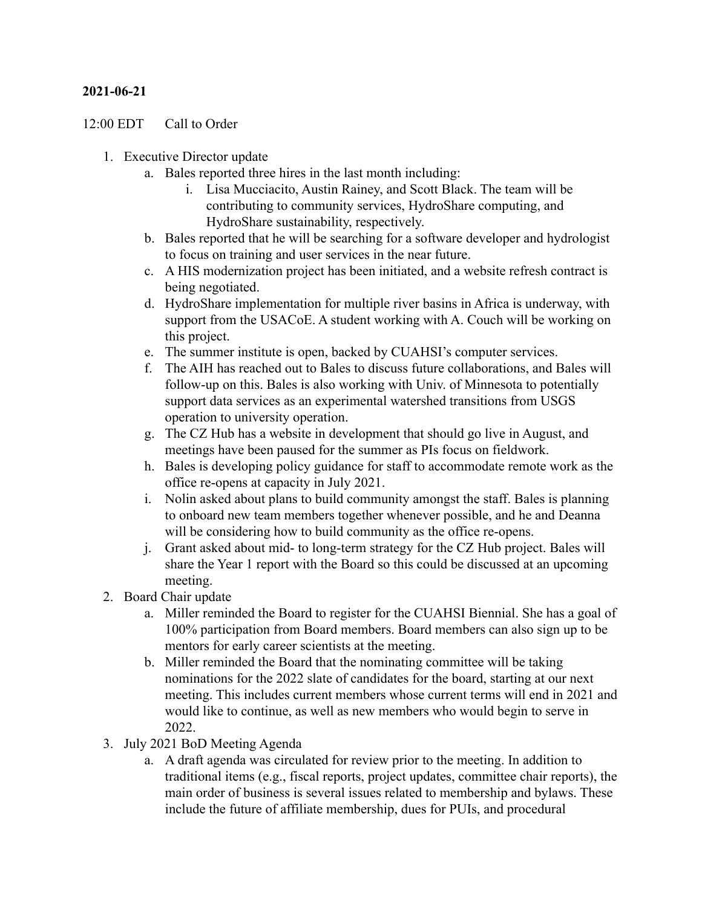### **2021-06-21**

### 12:00 EDT Call to Order

- 1. Executive Director update
	- a. Bales reported three hires in the last month including:
		- i. Lisa Mucciacito, Austin Rainey, and Scott Black. The team will be contributing to community services, HydroShare computing, and HydroShare sustainability, respectively.
	- b. Bales reported that he will be searching for a software developer and hydrologist to focus on training and user services in the near future.
	- c. A HIS modernization project has been initiated, and a website refresh contract is being negotiated.
	- d. HydroShare implementation for multiple river basins in Africa is underway, with support from the USACoE. A student working with A. Couch will be working on this project.
	- e. The summer institute is open, backed by CUAHSI's computer services.
	- f. The AIH has reached out to Bales to discuss future collaborations, and Bales will follow-up on this. Bales is also working with Univ. of Minnesota to potentially support data services as an experimental watershed transitions from USGS operation to university operation.
	- g. The CZ Hub has a website in development that should go live in August, and meetings have been paused for the summer as PIs focus on fieldwork.
	- h. Bales is developing policy guidance for staff to accommodate remote work as the office re-opens at capacity in July 2021.
	- i. Nolin asked about plans to build community amongst the staff. Bales is planning to onboard new team members together whenever possible, and he and Deanna will be considering how to build community as the office re-opens.
	- j. Grant asked about mid- to long-term strategy for the CZ Hub project. Bales will share the Year 1 report with the Board so this could be discussed at an upcoming meeting.
- 2. Board Chair update
	- a. Miller reminded the Board to register for the CUAHSI Biennial. She has a goal of 100% participation from Board members. Board members can also sign up to be mentors for early career scientists at the meeting.
	- b. Miller reminded the Board that the nominating committee will be taking nominations for the 2022 slate of candidates for the board, starting at our next meeting. This includes current members whose current terms will end in 2021 and would like to continue, as well as new members who would begin to serve in 2022.
- 3. July 2021 BoD Meeting Agenda
	- a. A draft agenda was circulated for review prior to the meeting. In addition to traditional items (e.g., fiscal reports, project updates, committee chair reports), the main order of business is several issues related to membership and bylaws. These include the future of affiliate membership, dues for PUIs, and procedural